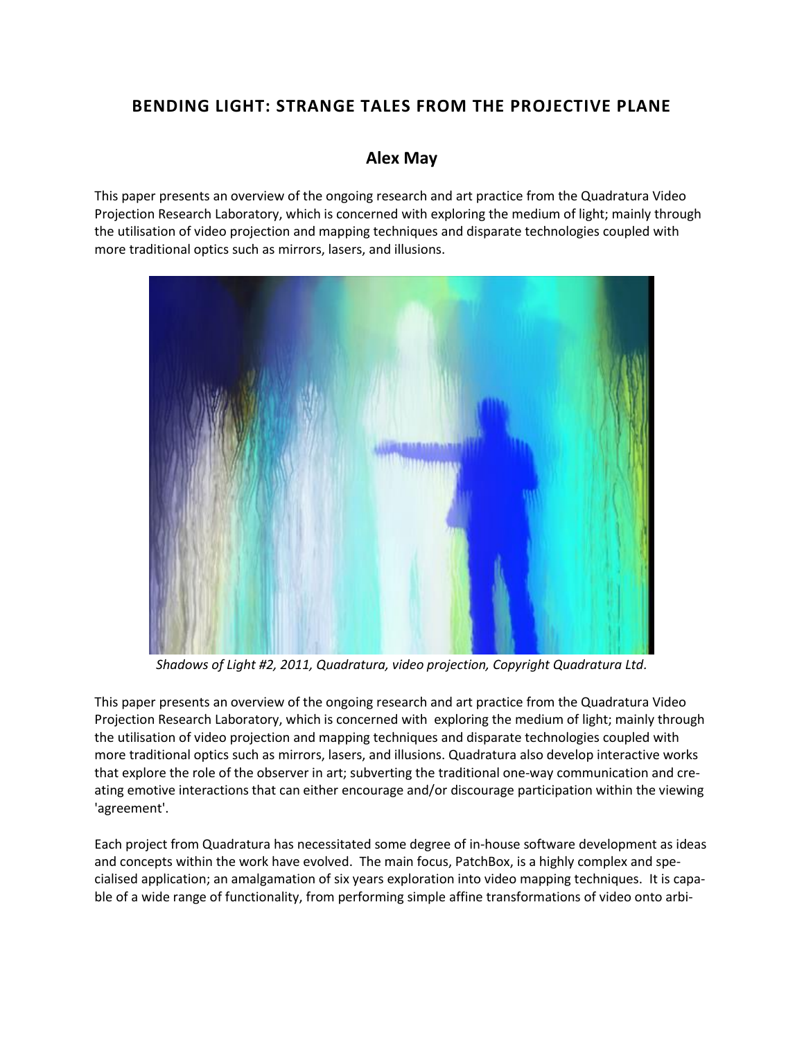# **BENDING LIGHT: STRANGE TALES FROM THE PROJECTIVE PLANE**

## **[Alex May](http://isea2011.sabanciuniv.edu/-270.html)**

This paper presents an overview of the ongoing research and art practice from the Quadratura Video Projection Research Laboratory, which is concerned with exploring the medium of light; mainly through the utilisation of video projection and mapping techniques and disparate technologies coupled with more traditional optics such as mirrors, lasers, and illusions.



*Shadows of Light #2, 2011, Quadratura, video projection, Copyright Quadratura Ltd.*

This paper presents an overview of the ongoing research and art practice from the Quadratura Video Projection Research Laboratory, which is concerned with exploring the medium of light; mainly through the utilisation of video projection and mapping techniques and disparate technologies coupled with more traditional optics such as mirrors, lasers, and illusions. Quadratura also develop interactive works that explore the role of the observer in art; subverting the traditional one-way communication and creating emotive interactions that can either encourage and/or discourage participation within the viewing 'agreement'.

Each project from Quadratura has necessitated some degree of in-house software development as ideas and concepts within the work have evolved. The main focus, PatchBox, is a highly complex and specialised application; an amalgamation of six years exploration into video mapping techniques. It is capable of a wide range of functionality, from performing simple affine transformations of video onto arbi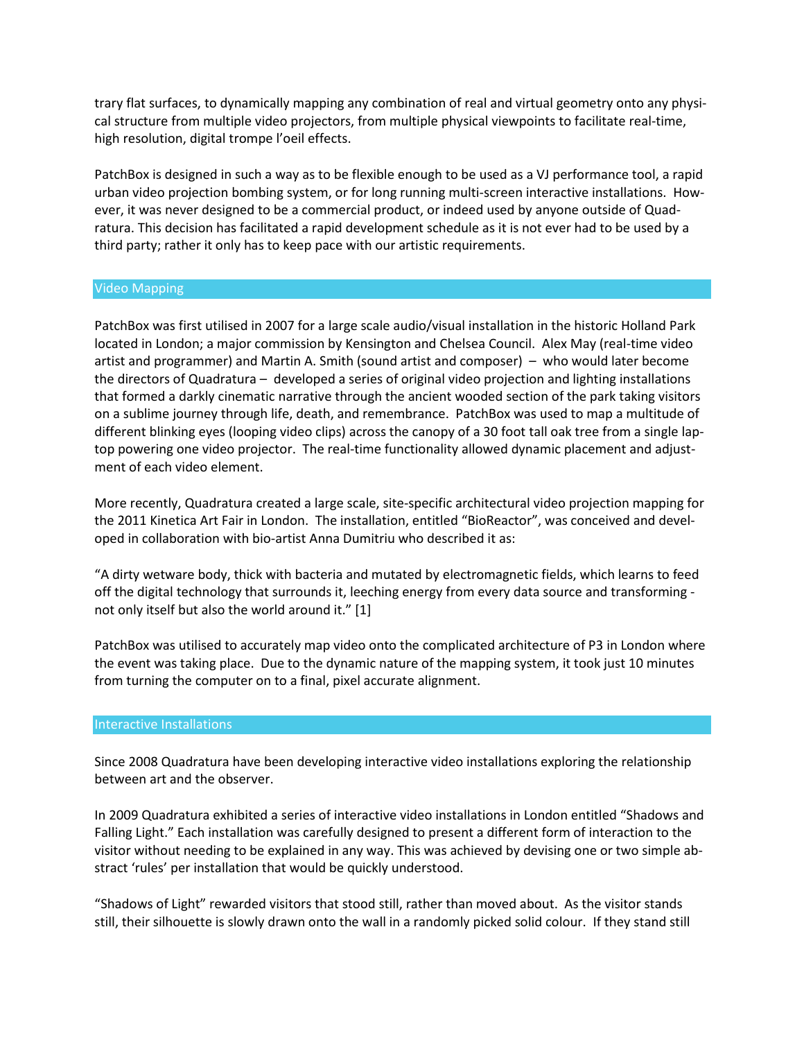trary flat surfaces, to dynamically mapping any combination of real and virtual geometry onto any physical structure from multiple video projectors, from multiple physical viewpoints to facilitate real-time, high resolution, digital trompe l'oeil effects.

PatchBox is designed in such a way as to be flexible enough to be used as a VJ performance tool, a rapid urban video projection bombing system, or for long running multi-screen interactive installations. However, it was never designed to be a commercial product, or indeed used by anyone outside of Quadratura. This decision has facilitated a rapid development schedule as it is not ever had to be used by a third party; rather it only has to keep pace with our artistic requirements.

### Video Mapping

PatchBox was first utilised in 2007 for a large scale audio/visual installation in the historic Holland Park located in London; a major commission by Kensington and Chelsea Council. Alex May (real-time video artist and programmer) and Martin A. Smith (sound artist and composer) – who would later become the directors of Quadratura – developed a series of original video projection and lighting installations that formed a darkly cinematic narrative through the ancient wooded section of the park taking visitors on a sublime journey through life, death, and remembrance. PatchBox was used to map a multitude of different blinking eyes (looping video clips) across the canopy of a 30 foot tall oak tree from a single laptop powering one video projector. The real-time functionality allowed dynamic placement and adjustment of each video element.

More recently, Quadratura created a large scale, site-specific architectural video projection mapping for the 2011 Kinetica Art Fair in London. The installation, entitled "BioReactor", was conceived and developed in collaboration with bio-artist Anna Dumitriu who described it as:

"A dirty wetware body, thick with bacteria and mutated by electromagnetic fields, which learns to feed off the digital technology that surrounds it, leeching energy from every data source and transforming not only itself but also the world around it." [1]

PatchBox was utilised to accurately map video onto the complicated architecture of P3 in London where the event was taking place. Due to the dynamic nature of the mapping system, it took just 10 minutes from turning the computer on to a final, pixel accurate alignment.

### Interactive Installations

Since 2008 Quadratura have been developing interactive video installations exploring the relationship between art and the observer.

In 2009 Quadratura exhibited a series of interactive video installations in London entitled "Shadows and Falling Light." Each installation was carefully designed to present a different form of interaction to the visitor without needing to be explained in any way. This was achieved by devising one or two simple abstract 'rules' per installation that would be quickly understood.

"Shadows of Light" rewarded visitors that stood still, rather than moved about. As the visitor stands still, their silhouette is slowly drawn onto the wall in a randomly picked solid colour. If they stand still